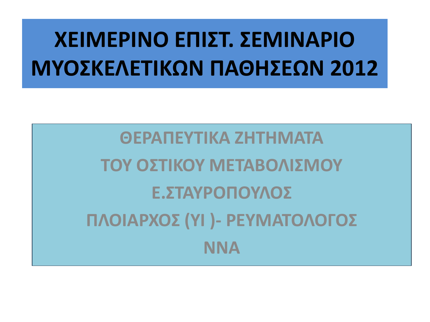# **ΧΕΙΜΕΡΙΝΟ ΕΠΙΣΤ. ΣΕΜΙΝΑΡΙΟ ΜΥΟΣΚΕΛΕΤΙΚΩΝ ΠΑΘΗΣΕΩΝ 2012**

**ΘΕΡΑΠΕΥΤΙΚΑ ΖΗΤΗΜΑΤΑ ΤΟΥ ΟΣΤΙΚΟΥ ΜΕΤΑΒΟΛΙΣΜΟΥ Ε.ΣΤΑΥΡΟΠΟΥΛΟΣ ΠΛΟΙΑΡΧΟΣ (ΥΙ )- ΡΕΥΜΑΤΟΛΟΓΟΣ ΝΝΑ**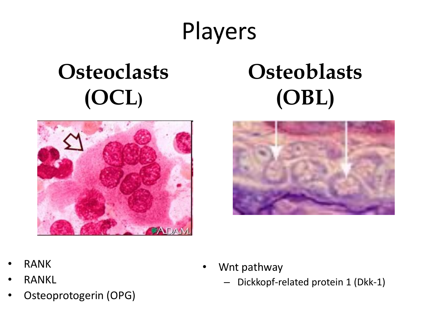# Players

# **Osteoclasts (OCL)**



## **Osteoblasts (OBL)**



- RANK
- **RANKL**
- Osteoprotogerin (OPG)
- Wnt pathway
	- Dickkopf-related protein 1 (Dkk-1)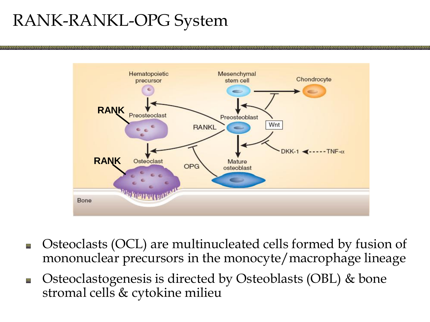#### RANK-RANKL-OPG System



- Osteoclasts (OCL) are multinucleated cells formed by fusion of 回 mononuclear precursors in the monocyte/macrophage lineage
- Osteoclastogenesis is directed by Osteoblasts (OBL) & bone 回 stromal cells & cytokine milieu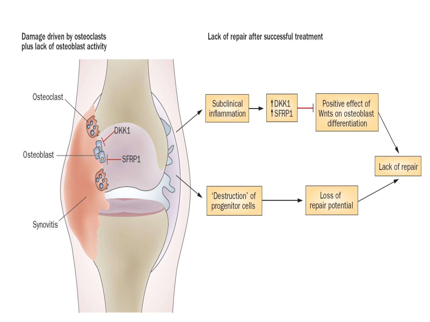#### Damage driven by osteoclasts plus lack of osteoblast activity

#### Lack of repair after successful treatment

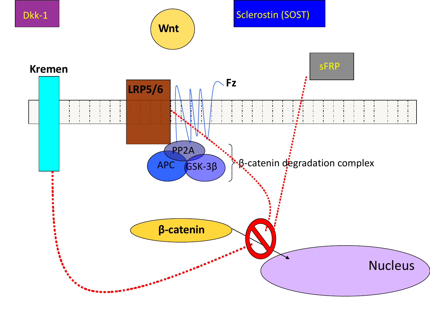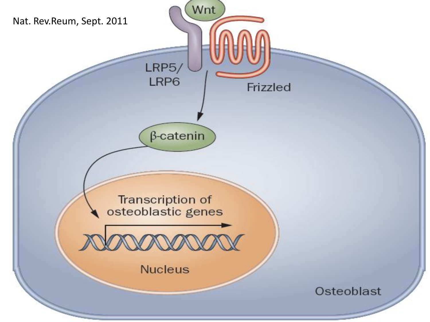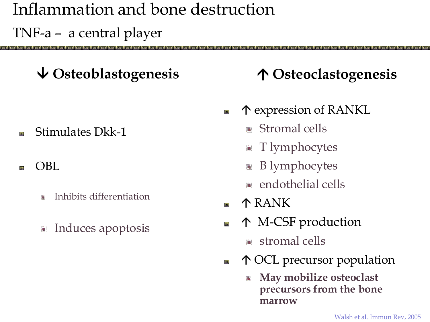## Inflammation and bone destruction

TNF-a – a central player

#### **Osteoblastogenesis Osteoclastogenesis**

Stimulates Dkk-1 同

#### OBL

- Inhibits differentiation
- Induces apoptosis

- expression of RANKL 回
	- **Stromal cells**
	- **T** lymphocytes
	- B lymphocytes
	- **a** endothelial cells
- RANK 回
- M-CSF production 回
	- stromal cells
- OCL precursor population 回
	- **May mobilize osteoclast precursors from the bone marrow**

Walsh et al. Immun Rev, 2005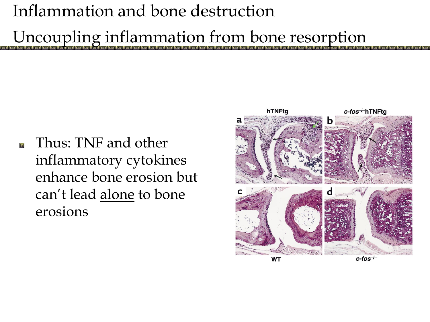### Inflammation and bone destruction

Uncoupling inflammation from bone resorption

Thus: TNF and other inflammatory cytokines enhance bone erosion but can't lead alone to bone erosions

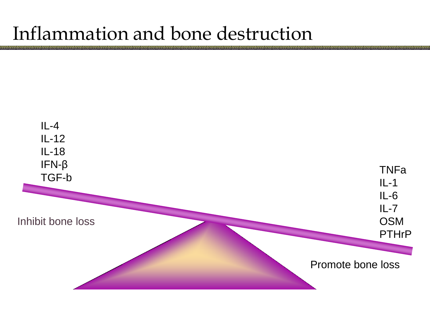## Inflammation and bone destruction